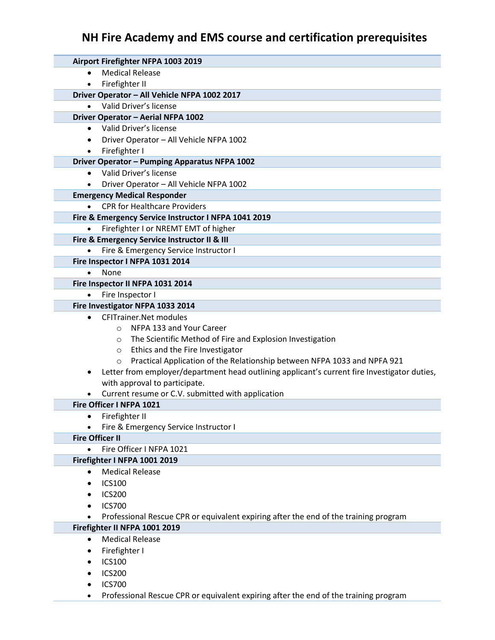# **NH Fire Academy and EMS course and certification prerequisites**

| Airport Firefighter NFPA 1003 2019                                                                        |
|-----------------------------------------------------------------------------------------------------------|
| <b>Medical Release</b><br>$\bullet$                                                                       |
| Firefighter II<br>$\bullet$                                                                               |
| Driver Operator - All Vehicle NFPA 1002 2017                                                              |
| Valid Driver's license                                                                                    |
| Driver Operator - Aerial NFPA 1002                                                                        |
| Valid Driver's license<br>$\bullet$                                                                       |
| Driver Operator - All Vehicle NFPA 1002<br>$\bullet$                                                      |
| Firefighter I<br>$\bullet$                                                                                |
| Driver Operator - Pumping Apparatus NFPA 1002<br>Valid Driver's license<br>$\bullet$                      |
| Driver Operator - All Vehicle NFPA 1002                                                                   |
| <b>Emergency Medical Responder</b>                                                                        |
| <b>CPR for Healthcare Providers</b>                                                                       |
| Fire & Emergency Service Instructor I NFPA 1041 2019                                                      |
| Firefighter I or NREMT EMT of higher                                                                      |
| Fire & Emergency Service Instructor II & III                                                              |
| Fire & Emergency Service Instructor I<br>$\bullet$                                                        |
| Fire Inspector I NFPA 1031 2014                                                                           |
| None                                                                                                      |
| Fire Inspector II NFPA 1031 2014                                                                          |
| Fire Inspector I<br>$\bullet$                                                                             |
| Fire Investigator NFPA 1033 2014                                                                          |
| <b>CFITrainer.Net modules</b><br>$\bullet$                                                                |
| NFPA 133 and Your Career<br>$\circ$                                                                       |
| The Scientific Method of Fire and Explosion Investigation<br>$\circ$                                      |
| Ethics and the Fire Investigator<br>$\circ$                                                               |
| Practical Application of the Relationship between NFPA 1033 and NPFA 921<br>$\circ$                       |
| Letter from employer/department head outlining applicant's current fire Investigator duties,<br>$\bullet$ |
| with approval to participate.                                                                             |
| Current resume or C.V. submitted with application                                                         |
| Fire Officer I NFPA 1021                                                                                  |
| Firefighter II<br>$\bullet$                                                                               |
| Fire & Emergency Service Instructor I                                                                     |
| <b>Fire Officer II</b>                                                                                    |
| Fire Officer I NFPA 1021<br>$\bullet$                                                                     |
| Firefighter I NFPA 1001 2019                                                                              |
| <b>Medical Release</b>                                                                                    |
| <b>ICS100</b><br>$\bullet$                                                                                |
| <b>ICS200</b>                                                                                             |
| <b>ICS700</b>                                                                                             |
| Professional Rescue CPR or equivalent expiring after the end of the training program                      |
| Firefighter II NFPA 1001 2019<br><b>Medical Release</b><br>$\bullet$                                      |
|                                                                                                           |
| Firefighter I<br>٠<br><b>ICS100</b>                                                                       |
| <b>ICS200</b>                                                                                             |
| <b>ICS700</b>                                                                                             |
|                                                                                                           |

Professional Rescue CPR or equivalent expiring after the end of the training program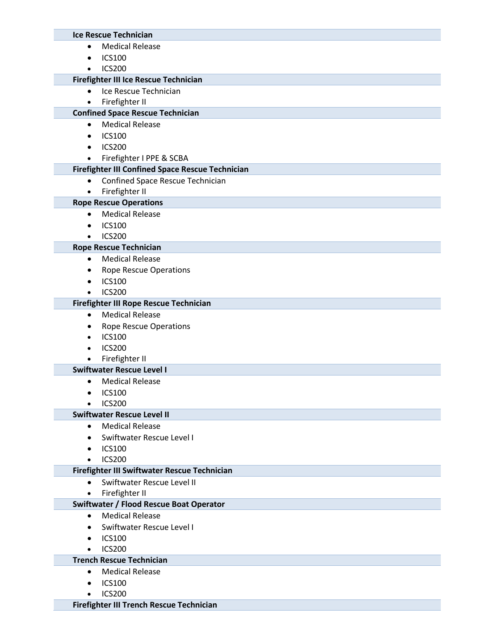#### **Ice Rescue Technician**

- Medical Release
- $\bullet$  ICS100
- ICS200

## **Firefighter III Ice Rescue Technician**

- Ice Rescue Technician
- **•** Firefighter II

## **Confined Space Rescue Technician**

- Medical Release
- $\bullet$  ICS100
- ICS200
- Firefighter I PPE & SCBA

## **Firefighter III Confined Space Rescue Technician**

- Confined Space Rescue Technician
- **•** Firefighter II

## **Rope Rescue Operations**

- Medical Release
- $\bullet$  ICS100
- ICS200

#### **Rope Rescue Technician**

- Medical Release
- Rope Rescue Operations
- $\bullet$  ICS100
- ICS200

#### **Firefighter III Rope Rescue Technician**

- Medical Release
- Rope Rescue Operations
- $\bullet$  ICS100
- ICS200
- Firefighter II

#### **Swiftwater Rescue Level I**

- Medical Release
- $\bullet$  ICS100
- ICS200

#### **Swiftwater Rescue Level II**

- Medical Release
- Swiftwater Rescue Level I
- $\bullet$  ICS100
- $\bullet$  ICS200

#### **Firefighter III Swiftwater Rescue Technician**

- Swiftwater Rescue Level II
- **•** Firefighter II

## **Swiftwater / Flood Rescue Boat Operator**

- Medical Release
- Swiftwater Rescue Level I
- $\bullet$  ICS100
- ICS200

## **Trench Rescue Technician**

- Medical Release
- $\bullet$  ICS100
- ICS200

#### **Firefighter III Trench Rescue Technician**